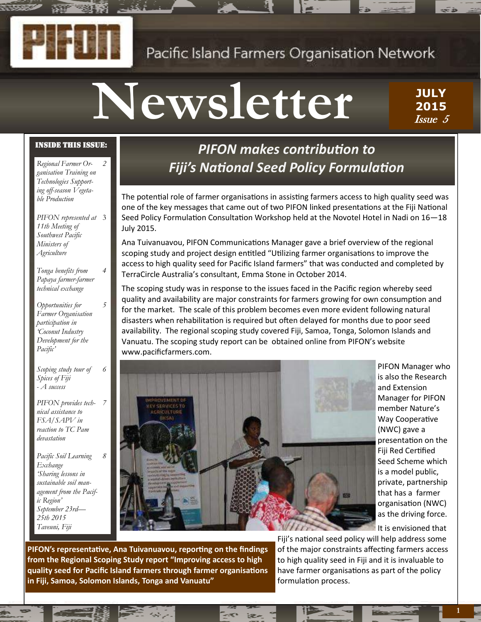## Pacific Island Farmers Organisation Network

# **Newsletter**

**JULY 2015** Issue 5

#### Inside this issue:

*Regional Farmer Organisation Training on Technologies Supporting off-season Vegetable Production 2*

*PIFON represented at*  3 *11th Meeting of Southwest Pacific Ministers of Agriculture*

*Tonga benefits from Papaya farmer-farmer technical exchange 4*

*5*

*6*

*7*

*8*

*Opportunities for Farmer Organisation participation in 'Coconut Industry Development for the Pacific'*

*Scoping study tour of Spices of Fiji - A success*

*PIFON provides technical assistance to FSA/SAPV in reaction to TC Pam devastation*

*Pacific Soil Learning Exchange 'Sharing lessons in sustainable soil management from the Pacific Region' September 23rd— 25th 2015 Taveuni, Fiji*

## *PIFON makes contribution to Fiji's National Seed Policy Formulation*

The potential role of farmer organisations in assisting farmers access to high quality seed was one of the key messages that came out of two PIFON linked presentations at the Fiji National Seed Policy Formulation Consultation Workshop held at the Novotel Hotel in Nadi on 16—18 July 2015.

Ana Tuivanuavou, PIFON Communications Manager gave a brief overview of the regional scoping study and project design entitled "Utilizing farmer organisations to improve the access to high quality seed for Pacific Island farmers" that was conducted and completed by TerraCircle Australia's consultant, Emma Stone in October 2014.

The scoping study was in response to the issues faced in the Pacific region whereby seed quality and availability are major constraints for farmers growing for own consumption and for the market. The scale of this problem becomes even more evident following natural disasters when rehabilitation is required but often delayed for months due to poor seed availability. The regional scoping study covered Fiji, Samoa, Tonga, Solomon Islands and Vanuatu. The scoping study report can be obtained online from PIFON's website www.pacificfarmers.com.



PIFON Manager who is also the Research and Extension Manager for PIFON member Nature's Way Cooperative (NWC) gave a presentation on the Fiji Red Certified Seed Scheme which is a model public, private, partnership that has a farmer organisation (NWC) as the driving force.

It is envisioned that

**PIFON's representative, Ana Tuivanuavou, reporting on the findings from the Regional Scoping Study report "Improving access to high quality seed for Pacific Island farmers through farmer organisations in Fiji, Samoa, Solomon Islands, Tonga and Vanuatu"**

Fiji's national seed policy will help address some of the major constraints affecting farmers access to high quality seed in Fiji and it is invaluable to have farmer organisations as part of the policy formulation process.



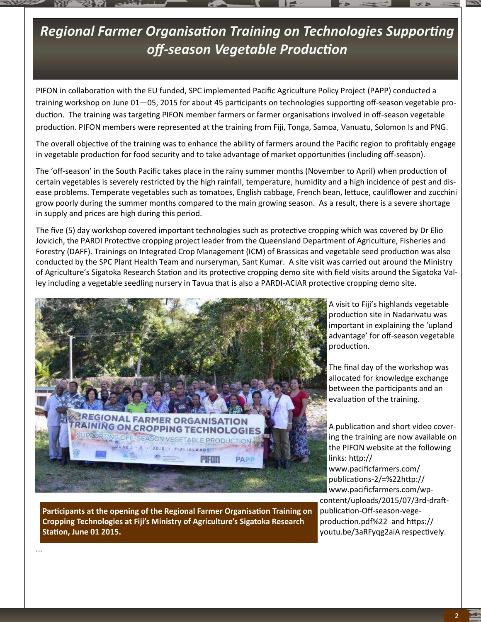## *Regional Farmer Organisation Training on Technologies Supporting off-season Vegetable Production*

PIFON in collaboration with the EU funded, SPC implemented Pacific Agriculture Policy Project (PAPP) conducted a training workshop on June 01—05, 2015 for about 45 participants on technologies supporting off-season vegetable production. The training was targeting PIFON member farmers or farmer organisations involved in off-season vegetable production. PIFON members were represented at the training from Fiji, Tonga, Samoa, Vanuatu, Solomon Is and PNG.

The overall objective of the training was to enhance the ability of farmers around the Pacific region to profitably engage in vegetable production for food security and to take advantage of market opportunities (including off-season).

The 'off-season' in the South Pacific takes place in the rainy summer months (November to April) when production of certain vegetables is severely restricted by the high rainfall, temperature, humidity and a high incidence of pest and disease problems. Temperate vegetables such as tomatoes, English cabbage, French bean, lettuce, cauliflower and zucchini grow poorly during the summer months compared to the main growing season. As a result, there is a severe shortage in supply and prices are high during this period.

The five (5) day workshop covered important technologies such as protective cropping which was covered by Dr Elio Jovicich, the PARDI Protective cropping project leader from the Queensland Department of Agriculture, Fisheries and Forestry (DAFF). Trainings on Integrated Crop Management (ICM) of Brassicas and vegetable seed production was also conducted by the SPC Plant Health Team and nurseryman, Sant Kumar. A site visit was carried out around the Ministry of Agriculture's Sigatoka Research Station and its protective cropping demo site with field visits around the Sigatoka Valley including a vegetable seedling nursery in Tavua that is also a PARDI-ACIAR protective cropping demo site.



**Participants at the opening of the Regional Farmer Organisation Training on Cropping Technologies at Fiji's Ministry of Agriculture's Sigatoka Research Station, June 01 2015.**

...

A visit to Fiji's highlands vegetable production site in Nadarivatu was important in explaining the 'upland advantage' for off-season vegetable production.

The final day of the workshop was allocated for knowledge exchange between the participants and an evaluation of the training.

A publication and short video covering the training are now available on the PIFON website at the following links: http:// www.pacificfarmers.com/ publications-2/=%22http:// www.pacificfarmers.com/wpcontent/uploads/2015/07/3rd-draftpublication-Off-season-vegeproduction.pdf%22 and https:// youtu.be/3aRFyqg2aiA respectively.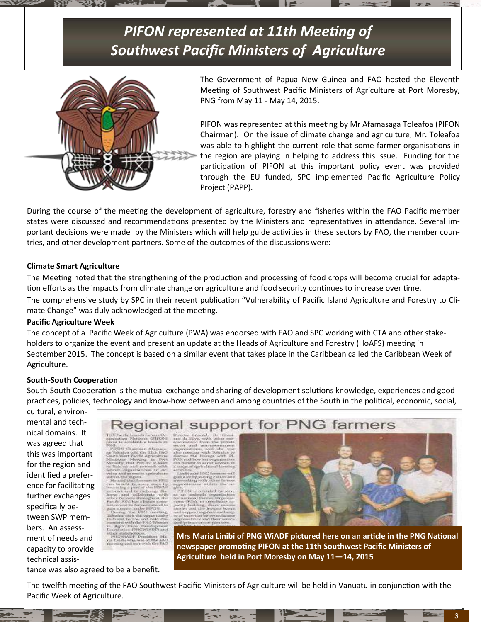



The Government of Papua New Guinea and FAO hosted the Eleventh Meeting of Southwest Pacific Ministers of Agriculture at Port Moresby, PNG from May 11 - May 14, 2015.

PIFON was represented at this meeting by Mr Afamasaga Toleafoa (PIFON Chairman). On the issue of climate change and agriculture, Mr. Toleafoa was able to highlight the current role that some farmer organisations in the region are playing in helping to address this issue. Funding for the participation of PIFON at this important policy event was provided through the EU funded, SPC implemented Pacific Agriculture Policy Project (PAPP).

During the course of the meeting the development of agriculture, forestry and fisheries within the FAO Pacific member states were discussed and recommendations presented by the Ministers and representatives in attendance. Several important decisions were made by the Ministers which will help guide activities in these sectors by FAO, the member countries, and other development partners. Some of the outcomes of the discussions were:

#### **Climate Smart Agriculture**

The Meeting noted that the strengthening of the production and processing of food crops will become crucial for adaptation efforts as the impacts from climate change on agriculture and food security continues to increase over time.

The comprehensive study by SPC in their recent publication "Vulnerability of Pacific Island Agriculture and Forestry to Climate Change" was duly acknowledged at the meeting.

#### **Pacific Agriculture Week**

The concept of a Pacific Week of Agriculture (PWA) was endorsed with FAO and SPC working with CTA and other stakeholders to organize the event and present an update at the Heads of Agriculture and Forestry (HoAFS) meeting in September 2015. The concept is based on a similar event that takes place in the Caribbean called the Caribbean Week of Agriculture.

#### **South-South Cooperation**

South-South Cooperation is the mutual exchange and sharing of development solutions knowledge, experiences and good practices, policies, technology and know-how between and among countries of the South in the political, economic, social,

cultural, environmental and technical domains. It was agreed that this was important for the region and identified a preference for facilitating further exchanges specifically between SWP members. An assessment of needs and capacity to provide technical assis-



h th **IPSGWADELSM** scholders<br>ADF Prezide



**Mrs Maria Linibi of PNG WiADF pictured here on an article in the PNG National newspaper promoting PIFON at the 11th Southwest Pacific Ministers of Agriculture held in Port Moresby on May 11—14, 2015**

tance was also agreed to be a benefit.

The twelfth meeting of the FAO Southwest Pacific Ministers of Agriculture will be held in Vanuatu in conjunction with the Pacific Week of Agriculture.

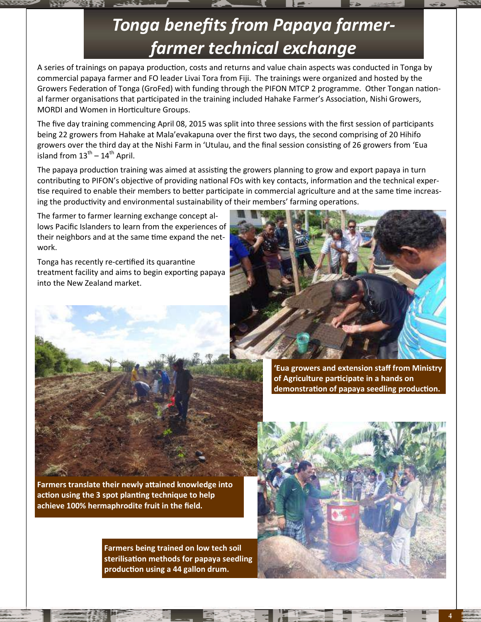# *Tonga benefits from Papaya farmerfarmer technical exchange*

A series of trainings on papaya production, costs and returns and value chain aspects was conducted in Tonga by commercial papaya farmer and FO leader Livai Tora from Fiji. The trainings were organized and hosted by the Growers Federation of Tonga (GroFed) with funding through the PIFON MTCP 2 programme. Other Tongan national farmer organisations that participated in the training included Hahake Farmer's Association, Nishi Growers, MORDI and Women in Horticulture Groups.

The five day training commencing April 08, 2015 was split into three sessions with the first session of participants being 22 growers from Hahake at Mala'evakapuna over the first two days, the second comprising of 20 Hihifo growers over the third day at the Nishi Farm in 'Utulau, and the final session consisting of 26 growers from 'Eua island from  $13^{th} - 14^{th}$  April.

The papaya production training was aimed at assisting the growers planning to grow and export papaya in turn contributing to PIFON's objective of providing national FOs with key contacts, information and the technical expertise required to enable their members to better participate in commercial agriculture and at the same time increasing the productivity and environmental sustainability of their members' farming operations.

The farmer to farmer learning exchange concept allows Pacific Islanders to learn from the experiences of their neighbors and at the same time expand the network.

Tonga has recently re-certified its quarantine treatment facility and aims to begin exporting papaya into the New Zealand market.





**'Eua growers and extension staff from Ministry of Agriculture participate in a hands on demonstration of papaya seedling production.** 

**Farmers translate their newly attained knowledge into action using the 3 spot planting technique to help achieve 100% hermaphrodite fruit in the field.**

> **Farmers being trained on low tech soil sterilisation methods for papaya seedling production using a 44 gallon drum.**

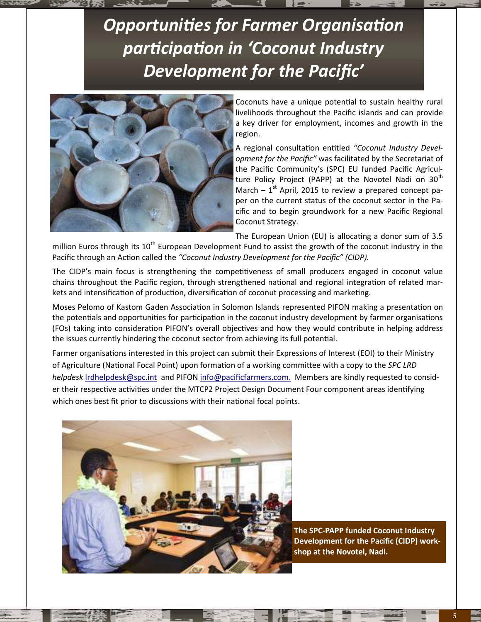# *Opportunities for Farmer Organisation participation in 'Coconut Industry Development for the Pacific'*



Coconuts have a unique potential to sustain healthy rural livelihoods throughout the Pacific islands and can provide a key driver for employment, incomes and growth in the region.

A regional consultation entitled *"Coconut Industry Development for the Pacific"* was facilitated by the Secretariat of the Pacific Community's (SPC) EU funded Pacific Agriculture Policy Project (PAPP) at the Novotel Nadi on  $30<sup>th</sup>$ March  $-1$ <sup>st</sup> April, 2015 to review a prepared concept paper on the current status of the coconut sector in the Pacific and to begin groundwork for a new Pacific Regional Coconut Strategy.

The European Union (EU) is allocating a donor sum of 3.5

million Euros through its  $10^{th}$  European Development Fund to assist the growth of the coconut industry in the Pacific through an Action called the *"Coconut Industry Development for the Pacific" (CIDP).*

The CIDP's main focus is strengthening the competitiveness of small producers engaged in coconut value chains throughout the Pacific region, through strengthened national and regional integration of related markets and intensification of production, diversification of coconut processing and marketing.

Moses Pelomo of Kastom Gaden Association in Solomon Islands represented PIFON making a presentation on the potentials and opportunities for participation in the coconut industry development by farmer organisations (FOs) taking into consideration PIFON's overall objectives and how they would contribute in helping address the issues currently hindering the coconut sector from achieving its full potential.

Farmer organisations interested in this project can submit their Expressions of Interest (EOI) to their Ministry of Agriculture (National Focal Point) upon formation of a working committee with a copy to the *SPC LRD helpdesk* [lrdhelpdesk@spc.int](mailto:lrdhelpdesk@spc.int.%20) and PIFON [info@pacificfarmers.com.](mailto:info@pacificfarmers.com) Members are kindly requested to consider their respective activities under the MTCP2 Project Design Document Four component areas identifying which ones best fit prior to discussions with their national focal points.



**The SPC-PAPP funded Coconut Industry Development for the Pacific (CIDP) workshop at the Novotel, Nadi.**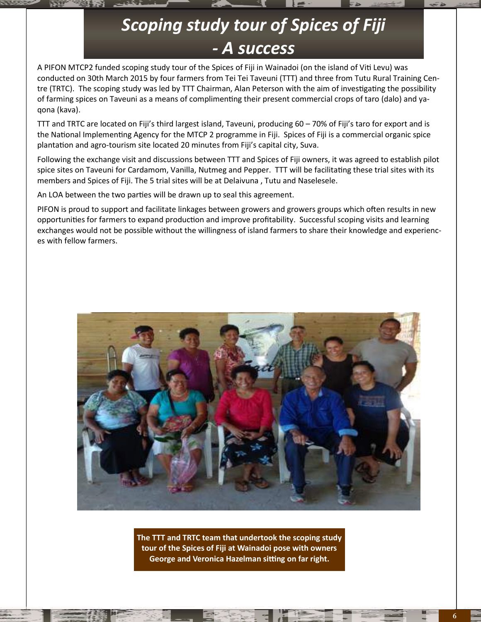## *Scoping study tour of Spices of Fiji - A success*

A PIFON MTCP2 funded scoping study tour of the Spices of Fiji in Wainadoi (on the island of Viti Levu) was conducted on 30th March 2015 by four farmers from Tei Tei Taveuni (TTT) and three from Tutu Rural Training Centre (TRTC). The scoping study was led by TTT Chairman, Alan Peterson with the aim of investigating the possibility of farming spices on Taveuni as a means of complimenting their present commercial crops of taro (dalo) and yaqona (kava).

TTT and TRTC are located on Fiji's third largest island, Taveuni, producing 60 – 70% of Fiji's taro for export and is the National Implementing Agency for the MTCP 2 programme in Fiji. Spices of Fiji is a commercial organic spice plantation and agro-tourism site located 20 minutes from Fiji's capital city, Suva.

Following the exchange visit and discussions between TTT and Spices of Fiji owners, it was agreed to establish pilot spice sites on Taveuni for Cardamom, Vanilla, Nutmeg and Pepper. TTT will be facilitating these trial sites with its members and Spices of Fiji. The 5 trial sites will be at Delaivuna , Tutu and Naselesele.

An LOA between the two parties will be drawn up to seal this agreement.

PIFON is proud to support and facilitate linkages between growers and growers groups which often results in new opportunities for farmers to expand production and improve profitability. Successful scoping visits and learning exchanges would not be possible without the willingness of island farmers to share their knowledge and experiences with fellow farmers.



**The TTT and TRTC team that undertook the scoping study tour of the Spices of Fiji at Wainadoi pose with owners George and Veronica Hazelman sitting on far right.**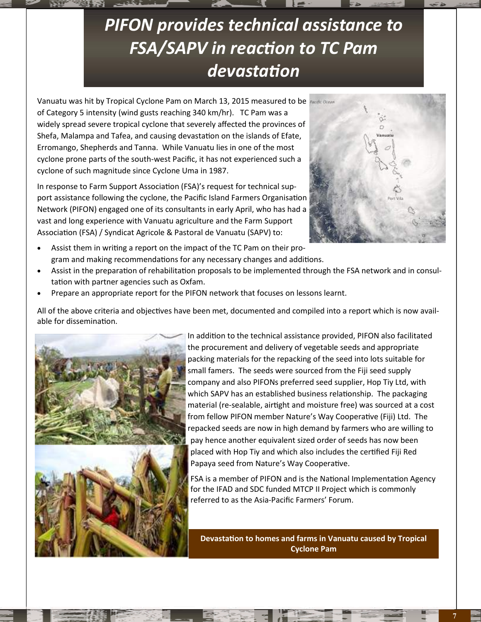# *PIFON provides technical assistance to FSA/SAPV in reaction to TC Pam devastation*

Vanuatu was hit by Tropical Cyclone Pam on March 13, 2015 measured to be of Category 5 intensity (wind gusts reaching 340 km/hr). TC Pam was a widely spread severe tropical cyclone that severely affected the provinces of Shefa, Malampa and Tafea, and causing devastation on the islands of Efate, Erromango, Shepherds and Tanna. While Vanuatu lies in one of the most cyclone prone parts of the south-west Pacific, it has not experienced such a cyclone of such magnitude since Cyclone Uma in 1987.

In response to Farm Support Association (FSA)'s request for technical support assistance following the cyclone, the Pacific Island Farmers Organisation Network (PIFON) engaged one of its consultants in early April, who has had a vast and long experience with Vanuatu agriculture and the Farm Support Association (FSA) / Syndicat Agricole & Pastoral de Vanuatu (SAPV) to:



- Assist them in writing a report on the impact of the TC Pam on their program and making recommendations for any necessary changes and additions.
- Assist in the preparation of rehabilitation proposals to be implemented through the FSA network and in consultation with partner agencies such as Oxfam.
- Prepare an appropriate report for the PIFON network that focuses on lessons learnt.

All of the above criteria and objectives have been met, documented and compiled into a report which is now available for dissemination.



In addition to the technical assistance provided, PIFON also facilitated the procurement and delivery of vegetable seeds and appropriate packing materials for the repacking of the seed into lots suitable for small famers. The seeds were sourced from the Fiji seed supply company and also PIFONs preferred seed supplier, Hop Tiy Ltd, with which SAPV has an established business relationship. The packaging material (re-sealable, airtight and moisture free) was sourced at a cost from fellow PIFON member Nature's Way Cooperative (Fiji) Ltd. The repacked seeds are now in high demand by farmers who are willing to pay hence another equivalent sized order of seeds has now been placed with Hop Tiy and which also includes the certified Fiji Red Papaya seed from Nature's Way Cooperative.

FSA is a member of PIFON and is the National Implementation Agency for the IFAD and SDC funded MTCP II Project which is commonly referred to as the Asia-Pacific Farmers' Forum.

**Devastation to homes and farms in Vanuatu caused by Tropical Cyclone Pam**